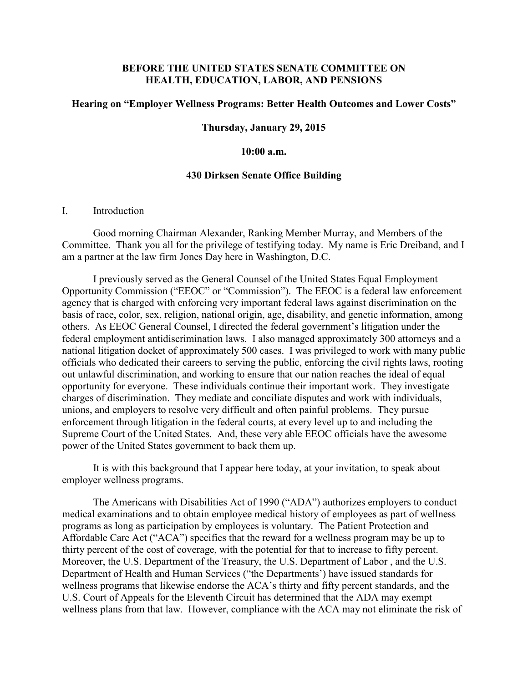# **BEFORE THE UNITED STATES SENATE COMMITTEE ON HEALTH, EDUCATION, LABOR, AND PENSIONS**

### **Hearing on "Employer Wellness Programs: Better Health Outcomes and Lower Costs"**

#### **Thursday, January 29, 2015**

## **10:00 a.m.**

#### **430 Dirksen Senate Office Building**

### I. Introduction

Good morning Chairman Alexander, Ranking Member Murray, and Members of the Committee. Thank you all for the privilege of testifying today. My name is Eric Dreiband, and I am a partner at the law firm Jones Day here in Washington, D.C.

I previously served as the General Counsel of the United States Equal Employment Opportunity Commission ("EEOC" or "Commission"). The EEOC is a federal law enforcement agency that is charged with enforcing very important federal laws against discrimination on the basis of race, color, sex, religion, national origin, age, disability, and genetic information, among others. As EEOC General Counsel, I directed the federal government's litigation under the federal employment antidiscrimination laws. I also managed approximately 300 attorneys and a national litigation docket of approximately 500 cases. I was privileged to work with many public officials who dedicated their careers to serving the public, enforcing the civil rights laws, rooting out unlawful discrimination, and working to ensure that our nation reaches the ideal of equal opportunity for everyone. These individuals continue their important work. They investigate charges of discrimination. They mediate and conciliate disputes and work with individuals, unions, and employers to resolve very difficult and often painful problems. They pursue enforcement through litigation in the federal courts, at every level up to and including the Supreme Court of the United States. And, these very able EEOC officials have the awesome power of the United States government to back them up.

It is with this background that I appear here today, at your invitation, to speak about employer wellness programs.

The Americans with Disabilities Act of 1990 ("ADA") authorizes employers to conduct medical examinations and to obtain employee medical history of employees as part of wellness programs as long as participation by employees is voluntary. The Patient Protection and Affordable Care Act ("ACA") specifies that the reward for a wellness program may be up to thirty percent of the cost of coverage, with the potential for that to increase to fifty percent. Moreover, the U.S. Department of the Treasury, the U.S. Department of Labor , and the U.S. Department of Health and Human Services ("the Departments') have issued standards for wellness programs that likewise endorse the ACA's thirty and fifty percent standards, and the U.S. Court of Appeals for the Eleventh Circuit has determined that the ADA may exempt wellness plans from that law. However, compliance with the ACA may not eliminate the risk of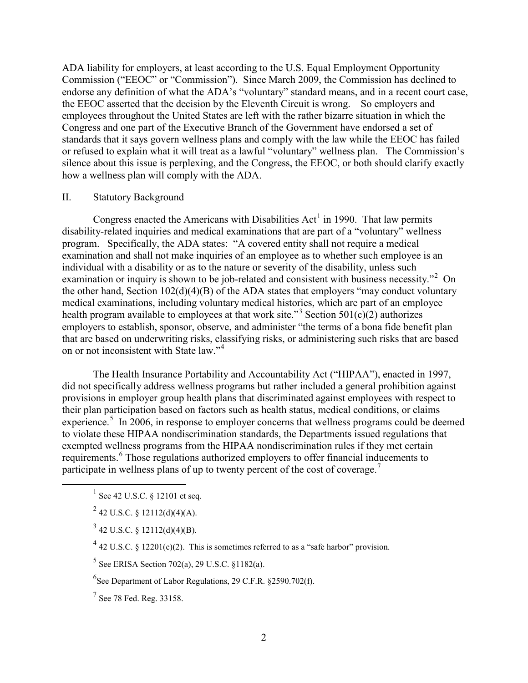ADA liability for employers, at least according to the U.S. Equal Employment Opportunity Commission ("EEOC" or "Commission"). Since March 2009, the Commission has declined to endorse any definition of what the ADA's "voluntary" standard means, and in a recent court case, the EEOC asserted that the decision by the Eleventh Circuit is wrong. So employers and employees throughout the United States are left with the rather bizarre situation in which the Congress and one part of the Executive Branch of the Government have endorsed a set of standards that it says govern wellness plans and comply with the law while the EEOC has failed or refused to explain what it will treat as a lawful "voluntary" wellness plan. The Commission's silence about this issue is perplexing, and the Congress, the EEOC, or both should clarify exactly how a wellness plan will comply with the ADA.

# II. Statutory Background

Congress enacted the Americans with Disabilities  $Act^1$  $Act^1$  in 1990. That law permits disability-related inquiries and medical examinations that are part of a "voluntary" wellness program. Specifically, the ADA states: "A covered entity shall not require a medical examination and shall not make inquiries of an employee as to whether such employee is an individual with a disability or as to the nature or severity of the disability, unless such examination or inquiry is shown to be job-related and consistent with business necessity."<sup>[2](#page-1-1)</sup> On the other hand, Section 102(d)(4)(B) of the ADA states that employers "may conduct voluntary medical examinations, including voluntary medical histories, which are part of an employee health program available to employees at that work site."<sup>[3](#page-1-2)</sup> Section 501(c)(2) authorizes employers to establish, sponsor, observe, and administer "the terms of a bona fide benefit plan that are based on underwriting risks, classifying risks, or administering such risks that are based on or not inconsistent with State law."<sup>[4](#page-1-3)</sup>

The Health Insurance Portability and Accountability Act ("HIPAA"), enacted in 1997, did not specifically address wellness programs but rather included a general prohibition against provisions in employer group health plans that discriminated against employees with respect to their plan participation based on factors such as health status, medical conditions, or claims experience.<sup>[5](#page-1-4)</sup> In 2006, in response to employer concerns that wellness programs could be deemed to violate these HIPAA nondiscrimination standards, the Departments issued regulations that exempted wellness programs from the HIPAA nondiscrimination rules if they met certain requirements.<sup>[6](#page-1-5)</sup> Those regulations authorized employers to offer financial inducements to participate in wellness plans of up to twenty percent of the cost of coverage.[7](#page-1-6)

- <span id="page-1-0"></span> $^{1}$  See 42 U.S.C. § 12101 et seq.
- <span id="page-1-1"></span> $^{2}$  42 U.S.C. § 12112(d)(4)(A).
- <span id="page-1-2"></span> $3$  42 U.S.C. § 12112(d)(4)(B).
- <span id="page-1-3"></span> $^{4}$  42 U.S.C. § 12201(c)(2). This is sometimes referred to as a "safe harbor" provision.
- <span id="page-1-4"></span> $5$  See ERISA Section 702(a), 29 U.S.C. §1182(a).
- <span id="page-1-6"></span><span id="page-1-5"></span> ${}^{6}$ See Department of Labor Regulations, 29 C.F.R. §2590.702(f).
- $^{7}$  See 78 Fed. Reg. 33158.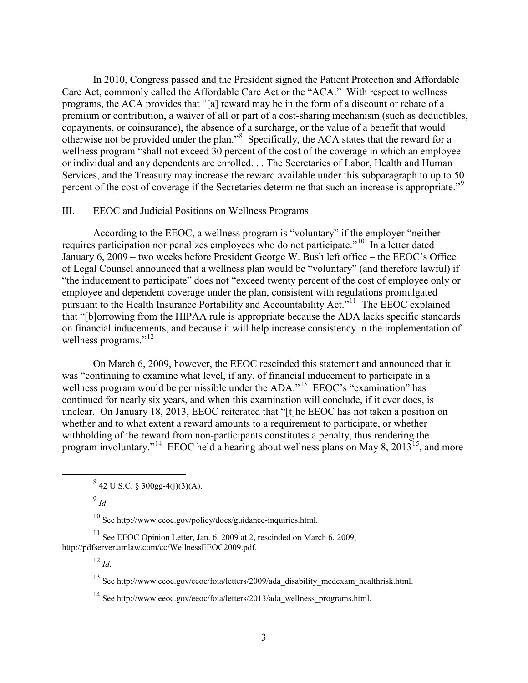In 2010, Congress passed and the President signed the Patient Protection and Affordable Care Act, commonly called the Affordable Care Act or the "ACA." With respect to wellness programs, the ACA provides that "[a] reward may be in the form of a discount or rebate of a premium or contribution, a waiver of all or part of a cost-sharing mechanism (such as deductibles, copayments, or coinsurance), the absence of a surcharge, or the value of a benefit that would otherwise not be provided under the plan."<sup>[8](#page-2-0)</sup> Specifically, the ACA states that the reward for a wellness program "shall not exceed 30 percent of the cost of the coverage in which an employee or individual and any dependents are enrolled. . . The Secretaries of Labor, Health and Human Services, and the Treasury may increase the reward available under this subparagraph to up to 50 percent of the cost of coverage if the Secretaries determine that such an increase is appropriate."<sup>[9](#page-2-1)</sup>

### III. EEOC and Judicial Positions on Wellness Programs

According to the EEOC, a wellness program is "voluntary" if the employer "neither requires participation nor penalizes employees who do not participate."<sup>10</sup> In a letter dated January 6, 2009 – two weeks before President George W. Bush left office – the EEOC's Office of Legal Counsel announced that a wellness plan would be "voluntary" (and therefore lawful) if "the inducement to participate" does not "exceed twenty percent of the cost of employee only or employee and dependent coverage under the plan, consistent with regulations promulgated pursuant to the Health Insurance Portability and Accountability Act."<sup>11</sup> The EEOC explained that "[b]orrowing from the HIPAA rule is appropriate because the ADA lacks specific standards on financial inducements, and because it will help increase consistency in the implementation of wellness programs."<sup>12</sup>

<span id="page-2-7"></span>On March 6, 2009, however, the EEOC rescinded this statement and announced that it was "continuing to examine what level, if any, of financial inducement to participate in a wellness program would be permissible under the ADA."<sup>13</sup> EEOC's "examination" has continued for nearly six years, and when this examination will conclude, if it ever does, is unclear. On January 18, 2013, EEOC reiterated that "[t]he EEOC has not taken a position on whether and to what extent a reward amounts to a requirement to participate, or whether withholding of the reward from non-participants constitutes a penalty, thus rendering the program involuntary."<sup>[14](#page-2-6)</sup> EEOC held a hearing about wellness plans on May 8, 2013<sup>[15](#page-2-7)</sup>, and more

<sup>9</sup> *Id*.

<sup>10</sup> See http://www.eeoc.gov/policy/docs/guidance-inquiries.html.

<span id="page-2-6"></span><span id="page-2-5"></span><span id="page-2-4"></span><span id="page-2-3"></span><span id="page-2-2"></span><span id="page-2-1"></span><span id="page-2-0"></span> $11$  See EEOC Opinion Letter, Jan. 6, 2009 at 2, rescinded on March 6, 2009, http://pdfserver.amlaw.com/cc/WellnessEEOC2009.pdf.

 $^{12}$  *Id*.

<sup>13</sup> See http://www.eeoc.gov/eeoc/foia/letters/2009/ada\_disability\_medexam\_healthrisk.html.

<sup>14</sup> See http://www.eeoc.gov/eeoc/foia/letters/2013/ada\_wellness\_programs.html.

 $842$  U.S.C. § 300gg-4(j)(3)(A).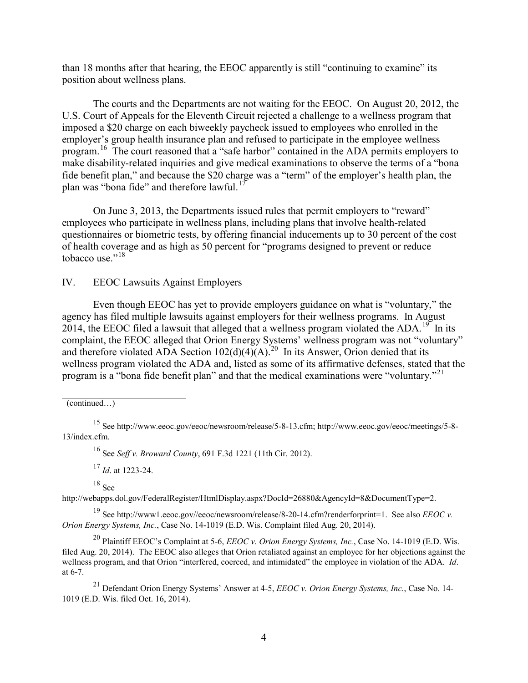than 18 months after that hearing, the EEOC apparently is still "continuing to examine" its position about wellness plans.

The courts and the Departments are not waiting for the EEOC. On August 20, 2012, the U.S. Court of Appeals for the Eleventh Circuit rejected a challenge to a wellness program that imposed a \$20 charge on each biweekly paycheck issued to employees who enrolled in the employer's group health insurance plan and refused to participate in the employee wellness program.[16](#page-3-0) The court reasoned that a "safe harbor" contained in the ADA permits employers to make disability-related inquiries and give medical examinations to observe the terms of a "bona fide benefit plan," and because the \$20 charge was a "term" of the employer's health plan, the plan was "bona fide" and therefore lawful.<sup>[17](#page-3-1)</sup>

On June 3, 2013, the Departments issued rules that permit employers to "reward" employees who participate in wellness plans, including plans that involve health-related questionnaires or biometric tests, by offering financial inducements up to 30 percent of the cost of health coverage and as high as 50 percent for "programs designed to prevent or reduce tobacco use."<sup>[18](#page-3-2)</sup>

IV. EEOC Lawsuits Against Employers

Even though EEOC has yet to provide employers guidance on what is "voluntary," the agency has filed multiple lawsuits against employers for their wellness programs. In August 2014, the EEOC filed a lawsuit that alleged that a wellness program violated the ADA.<sup>19</sup> In its complaint, the EEOC alleged that Orion Energy Systems' wellness program was not "voluntary" and therefore violated ADA Section  $102(d)(4)(A)^{20}$  In its Answer, Orion denied that its wellness program violated the ADA and, listed as some of its affirmative defenses, stated that the program is a "bona fide benefit plan" and that the medical examinations were "voluntary."<sup>[21](#page-3-5)</sup>

<sup>16</sup> See *Seff v. Broward County*, 691 F.3d 1221 (11th Cir. 2012).

<sup>17</sup> *Id*. at 1223-24.

 $18$  See

<span id="page-3-2"></span><span id="page-3-1"></span>http://webapps.dol.gov/FederalRegister/HtmlDisplay.aspx?DocId=26880&AgencyId=8&DocumentType=2.

<span id="page-3-3"></span><sup>19</sup> See http://www1.eeoc.gov//eeoc/newsroom/release/8-20-14.cfm?renderforprint=1. See also *EEOC v. Orion Energy Systems, Inc.*, Case No. 14-1019 (E.D. Wis. Complaint filed Aug. 20, 2014).

<span id="page-3-4"></span><sup>20</sup> Plaintiff EEOC's Complaint at 5-6, *EEOC v. Orion Energy Systems, Inc.*, Case No. 14-1019 (E.D. Wis. filed Aug. 20, 2014). The EEOC also alleges that Orion retaliated against an employee for her objections against the wellness program, and that Orion "interfered, coerced, and intimidated" the employee in violation of the ADA. *Id*. at 6-7.

<span id="page-3-5"></span><sup>21</sup> Defendant Orion Energy Systems' Answer at 4-5, *EEOC v. Orion Energy Systems, Inc.*, Case No. 14- 1019 (E.D. Wis. filed Oct. 16, 2014).

<sup>(</sup>continued…)

<span id="page-3-0"></span><sup>15</sup> See http://www.eeoc.gov/eeoc/newsroom/release/5-8-13.cfm; http://www.eeoc.gov/eeoc/meetings/5-8- 13/index.cfm.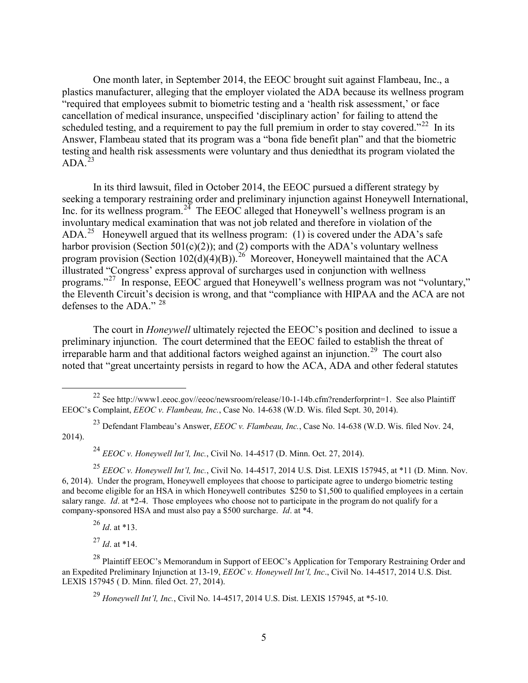One month later, in September 2014, the EEOC brought suit against Flambeau, Inc., a plastics manufacturer, alleging that the employer violated the ADA because its wellness program "required that employees submit to biometric testing and a 'health risk assessment,' or face cancellation of medical insurance, unspecified 'disciplinary action' for failing to attend the scheduled testing, and a requirement to pay the full premium in order to stay covered."<sup>[22](#page-4-0)</sup> In its Answer, Flambeau stated that its program was a "bona fide benefit plan" and that the biometric testing and health risk assessments were voluntary and thus deniedthat its program violated the  $ADA.<sup>23</sup>$  $ADA.<sup>23</sup>$  $ADA.<sup>23</sup>$ 

In its third lawsuit, filed in October 2014, the EEOC pursued a different strategy by seeking a temporary restraining order and preliminary injunction against Honeywell International, Inc. for its wellness program.<sup>[24](#page-4-2)</sup> The EEOC alleged that Honeywell's wellness program is an involuntary medical examination that was not job related and therefore in violation of the ADA.<sup>25</sup> Honeywell argued that its wellness program: (1) is covered under the ADA's safe harbor provision (Section 501 $(c)(2)$ ); and (2) comports with the ADA's voluntary wellness program provision (Section  $102(d)(4)(B)$ ).<sup>26</sup> Moreover, Honeywell maintained that the ACA illustrated "Congress' express approval of surcharges used in conjunction with wellness programs."[27](#page-4-5) In response, EEOC argued that Honeywell's wellness program was not "voluntary," the Eleventh Circuit's decision is wrong, and that "compliance with HIPAA and the ACA are not defenses to the ADA." [28](#page-4-6)

The court in *Honeywell* ultimately rejected the EEOC's position and declined to issue a preliminary injunction. The court determined that the EEOC failed to establish the threat of irreparable harm and that additional factors weighed against an injunction.<sup>29</sup> The court also noted that "great uncertainty persists in regard to how the ACA, ADA and other federal statutes

<sup>24</sup> *EEOC v. Honeywell Int'l, Inc.*, Civil No. 14-4517 (D. Minn. Oct. 27, 2014).

<sup>26</sup> *Id*. at \*13.

 $^{27}$  *Id.* at \*14.

<span id="page-4-0"></span><sup>&</sup>lt;sup>22</sup> See http://www1.eeoc.gov//eeoc/newsroom/release/10-1-14b.cfm?renderforprint=1. See also Plaintiff EEOC's Complaint, *EEOC v. Flambeau, Inc.*, Case No. 14-638 (W.D. Wis. filed Sept. 30, 2014).

<span id="page-4-1"></span><sup>23</sup> Defendant Flambeau's Answer, *EEOC v. Flambeau, Inc.*, Case No. 14-638 (W.D. Wis. filed Nov. 24, 2014).

<span id="page-4-3"></span><span id="page-4-2"></span><sup>&</sup>lt;sup>25</sup> *EEOC v. Honeywell Int'l, Inc.*, Civil No. 14-4517, 2014 U.S. Dist. LEXIS 157945, at \*11 (D. Minn. Nov. 6, 2014). Under the program, Honeywell employees that choose to participate agree to undergo biometric testing and become eligible for an HSA in which Honeywell contributes \$250 to \$1,500 to qualified employees in a certain salary range. *Id*. at \*2-4. Those employees who choose not to participate in the program do not qualify for a company-sponsored HSA and must also pay a \$500 surcharge. *Id*. at \*4.

<span id="page-4-7"></span><span id="page-4-6"></span><span id="page-4-5"></span><span id="page-4-4"></span><sup>&</sup>lt;sup>28</sup> Plaintiff EEOC's Memorandum in Support of EEOC's Application for Temporary Restraining Order and an Expedited Preliminary Injunction at 13-19, *EEOC v. Honeywell Int'l, Inc*., Civil No. 14-4517, 2014 U.S. Dist. LEXIS 157945 ( D. Minn. filed Oct. 27, 2014).

<sup>29</sup> *Honeywell Int'l, Inc.*, Civil No. 14-4517, 2014 U.S. Dist. LEXIS 157945, at \*5-10.